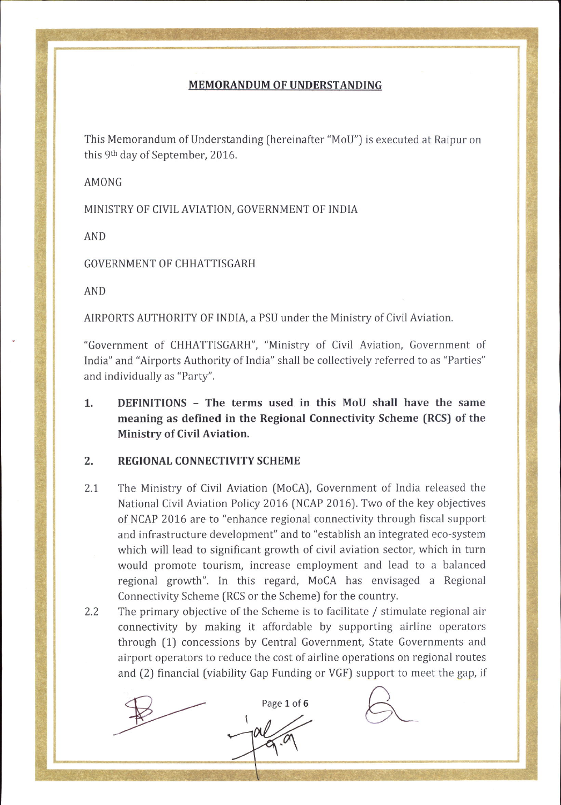## MEMORANDUM OF UNDERSTANDING

This Memorandum of Understanding (hereinafter "MoU") is executed at Raipur on this 9<sup>th</sup> day of September, 2016.

AMONG

MINISTRY OF CIVIL AVIATION, GOVERNMENT OF INDIA

AND

GOVERNMENT OF CHHATTISGARH

AND

AIRP0RTS AUTHORITY 0F INDIA, a PSU under the Ministry of Civil Aviation.

"Government of CHHATTISOARH", "Ministry of Civil Aviation, Government of India" and "Airports Authority of India" shall be collectively referred to as "Parties" and individually as "Party''.

1. DEFINITIONS - The terms used in this MoU shall have the same meaning as defined in the Regional Connectivity Scheme (RCS) of the Ministry of Civil Aviation,

## 2. REGIONAL CONNECTIVITY SCHEME

- The Ministry of Civil Aviation (MoCA), Government of India released the  $2.1$ National Civil Aviation Policy 2016 (NCAP 2016). Two of the key objectives of NCAP 2076 are to "enhance regional connectivity through fiscal support and infrastructure development" and to "establish an integrated eco-system which will lead to significant growth of civil aviation sector, which in turn would promote tourism, increase employment and lead to a balanced regional growth". In this regard, MoCA has envisaged a Regional Connectivity Scheme (RCS or the Scheme) for the country.
- The primary objective of the Scheme is to facilitate / stimulate regional air connectivity by making it affordable by supporting airline operators through (1) concessions by Central Government, State Governments and airport operators to reduce the cost of airline operations on regional routes and (2) financial (viability Gap Funding or VGF) support to meet the gap, if 2.2

 $p_{\text{age 1 of 6}}$